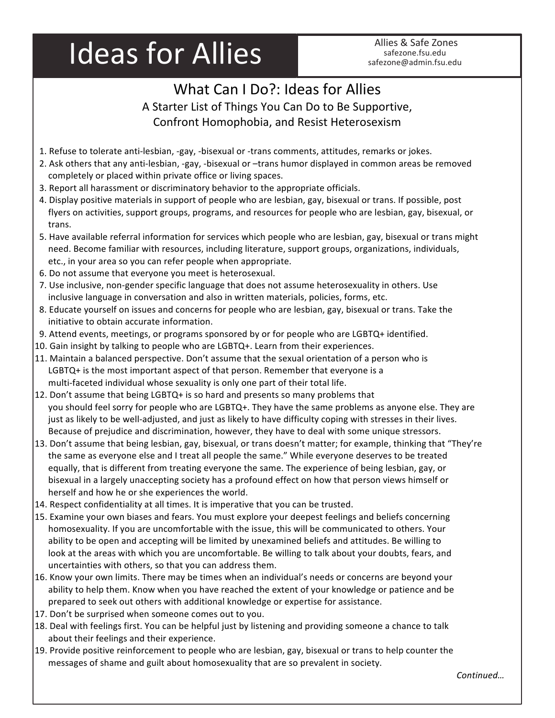## Ideas for Allies Allies & Safe Zones

## What Can I Do?: Ideas for Allies A Starter List of Things You Can Do to Be Supportive, Confront Homophobia, and Resist Heterosexism

- 1. Refuse to tolerate anti-lesbian, -gay, -bisexual or -trans comments, attitudes, remarks or jokes.
- 2. Ask others that any anti-lesbian, -gay, -bisexual or -trans humor displayed in common areas be removed completely or placed within private office or living spaces.
- 3. Report all harassment or discriminatory behavior to the appropriate officials.
- 4. Display positive materials in support of people who are lesbian, gay, bisexual or trans. If possible, post flyers on activities, support groups, programs, and resources for people who are lesbian, gay, bisexual, or trans.
- 5. Have available referral information for services which people who are lesbian, gay, bisexual or trans might need. Become familiar with resources, including literature, support groups, organizations, individuals, etc., in your area so you can refer people when appropriate.
- 6. Do not assume that everyone you meet is heterosexual.
- 7. Use inclusive, non-gender specific language that does not assume heterosexuality in others. Use inclusive language in conversation and also in written materials, policies, forms, etc.
- 8. Educate yourself on issues and concerns for people who are lesbian, gay, bisexual or trans. Take the initiative to obtain accurate information.
- 9. Attend events, meetings, or programs sponsored by or for people who are LGBTQ+ identified.
- 10. Gain insight by talking to people who are  $LGBTQ+$ . Learn from their experiences.
- 11. Maintain a balanced perspective. Don't assume that the sexual orientation of a person who is  $LGBTQ+$  is the most important aspect of that person. Remember that everyone is a multi-faceted individual whose sexuality is only one part of their total life.
- 12. Don't assume that being LGBTQ+ is so hard and presents so many problems that you should feel sorry for people who are LGBTQ+. They have the same problems as anyone else. They are just as likely to be well-adjusted, and just as likely to have difficulty coping with stresses in their lives. Because of prejudice and discrimination, however, they have to deal with some unique stressors.
- 13. Don't assume that being lesbian, gay, bisexual, or trans doesn't matter; for example, thinking that "They're the same as everyone else and I treat all people the same." While everyone deserves to be treated equally, that is different from treating everyone the same. The experience of being lesbian, gay, or bisexual in a largely unaccepting society has a profound effect on how that person views himself or herself and how he or she experiences the world.
- 14. Respect confidentiality at all times. It is imperative that you can be trusted.
- 15. Examine your own biases and fears. You must explore your deepest feelings and beliefs concerning homosexuality. If you are uncomfortable with the issue, this will be communicated to others. Your ability to be open and accepting will be limited by unexamined beliefs and attitudes. Be willing to look at the areas with which you are uncomfortable. Be willing to talk about your doubts, fears, and uncertainties with others, so that you can address them.
- 16. Know your own limits. There may be times when an individual's needs or concerns are beyond your ability to help them. Know when you have reached the extent of your knowledge or patience and be prepared to seek out others with additional knowledge or expertise for assistance.
- 17. Don't be surprised when someone comes out to you.
- 18. Deal with feelings first. You can be helpful just by listening and providing someone a chance to talk about their feelings and their experience.
- 19. Provide positive reinforcement to people who are lesbian, gay, bisexual or trans to help counter the messages of shame and guilt about homosexuality that are so prevalent in society.

*Continued…*